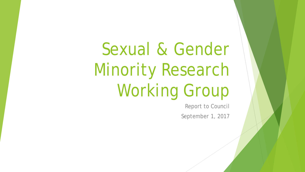Sexual & Gender Minority Research Working Group

Report to Council

September 1, 2017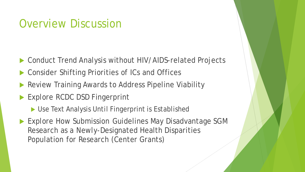### Overview Discussion

- Conduct Trend Analysis without HIV/AIDS-related Projects
- Consider Shifting Priorities of ICs and Offices
- Review Training Awards to Address Pipeline Viability
- Explore RCDC DSD Fingerprint
	- ▶ Use Text Analysis Until Fingerprint is Established
- ▶ Explore How Submission Guidelines May Disadvantage SGM Research as a Newly-Designated Health Disparities Population for Research (Center Grants)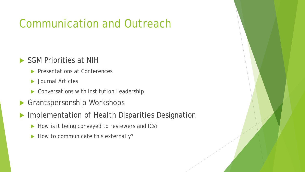# Communication and Outreach

#### SGM Priorities at NIH

- **Presentations at Conferences**
- Journal Articles
- ▶ Conversations with Institution Leadership
- Grantspersonship Workshops
- Implementation of Health Disparities Designation
	- How is it being conveyed to reviewers and ICs?
	- How to communicate this externally?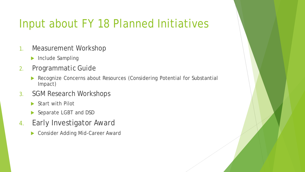# Input about FY 18 Planned Initiatives

- 1. Measurement Workshop
	- **Include Sampling**
- 2. Programmatic Guide
	- Recognize Concerns about Resources (Considering Potential for Substantial Impact)
- 3. SGM Research Workshops
	- Start with Pilot
	- Separate LGBT and DSD
- 4. Early Investigator Award
	- **Consider Adding Mid-Career Award**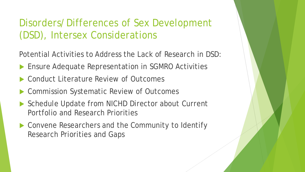#### Disorders/Differences of Sex Development (DSD), Intersex Considerations

Potential Activities to Address the Lack of Research in DSD:

- Ensure Adequate Representation in SGMRO Activities
- Conduct Literature Review of Outcomes
- Commission Systematic Review of Outcomes
- Schedule Update from NICHD Director about Current Portfolio and Research Priorities
- ▶ Convene Researchers and the Community to Identify Research Priorities and Gaps